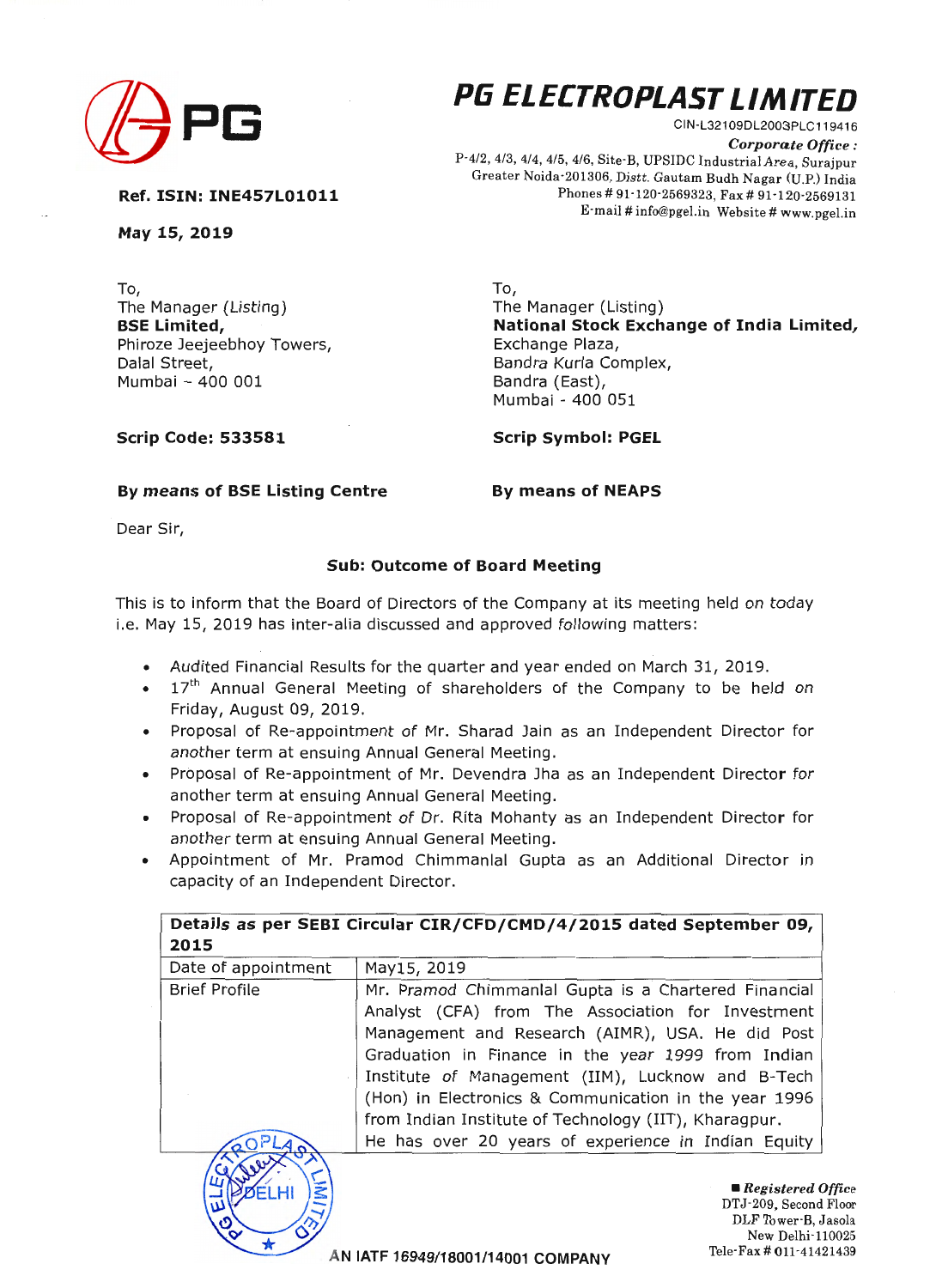

## **(/j PG Pli ELECTROPLAST LIMITED**

CIN-L321 09DL2003PLC119416 *Corporate Office :*  P-4/2, 4/3, 4/4, 4/5, 4/6, Site· B, UPSIDC Industrial Area, Surajpur Greater Noida-201306, Distt. Gautam Budh Nagar (U.P.) India Phones# 91·120-2569323, Fax# 91-120·2569131 E·mail # info@pgel.in Website# www.pgel.in

**Ref. ISIN: INE457L01011** 

**May 15, 2019** 

To, To, The Manager (Listing) **BSE Limited,**  Phiroze Jeejeebhoy Towers, Dalal Street, Mumbai - 400 001

The Manager (Listing) **National Stock Exchange of India Limited,**  Bandra Kurla Complex, Bandra (East), Mumbai - 400 051

**Scrip Code: 533581** 

**Scrip Symbol: PGEL** 

## By means of BSE Listing Centre **By means of NEAPS**

Dear Sir,

## **Sub: Outcome of Board Meeting**

This is to inform that the Board of Directors of the Company at its meeting held on today i.e. May 15, 2019 has inter-alia discussed and approved following matters:

- Audited Financial Results for the quarter and year ended on March 31, 2019.
- $\bullet$  17<sup>th</sup> Annual General Meeting of shareholders of the Company to be held on Friday, August 09, 2019.
- Proposal of Re-appointment of Mr. Sharad Jain as an Independent Director for another term at ensuing Annual General Meeting.
- Proposal of Re-appointment of Mr. Devendra Jha as an Independent Director for another term at ensuing Annual General Meeting.
- Proposal of Re-appointment of Dr. Rita Mohanty as an Independent Director for another term at ensuing Annual General Meeting.
- Appointment of Mr. Pramod Chimmanlal Gupta as an Additional Director in capacity of an Independent Director.

| Details as per SEBI Circular CIR/CFD/CMD/4/2015 dated September 09, |                                                                                                    |  |
|---------------------------------------------------------------------|----------------------------------------------------------------------------------------------------|--|
| 2015                                                                |                                                                                                    |  |
| Date of appointment                                                 | May15, 2019                                                                                        |  |
| <b>Brief Profile</b>                                                | Mr. Pramod Chimmanial Gupta is a Chartered Financial                                               |  |
|                                                                     | Analyst (CFA) from The Association for Investment                                                  |  |
|                                                                     | Management and Research (AIMR), USA. He did Post                                                   |  |
|                                                                     | Graduation in Finance in the year 1999 from Indian                                                 |  |
|                                                                     | Institute of Management (IIM), Lucknow and B-Tech                                                  |  |
|                                                                     | (Hon) in Electronics & Communication in the year 1996                                              |  |
|                                                                     | from Indian Institute of Technology (IIT), Kharagpur.                                              |  |
|                                                                     | He has over 20 years of experience in Indian Equity                                                |  |
|                                                                     |                                                                                                    |  |
| JEL HI                                                              | $\blacksquare$ Registered Office                                                                   |  |
| س                                                                   | DTJ-209, Second Floor                                                                              |  |
| $\mathcal{S}^{\bullet}$                                             | DLF Tower B, Jasola                                                                                |  |
|                                                                     | New Delhi-110025<br>Tele-Fax # 011-41421439<br>$A$ be easy of a contract and a construction of $A$ |  |

**AN IATF 16949/18001/14001 COMPANY**